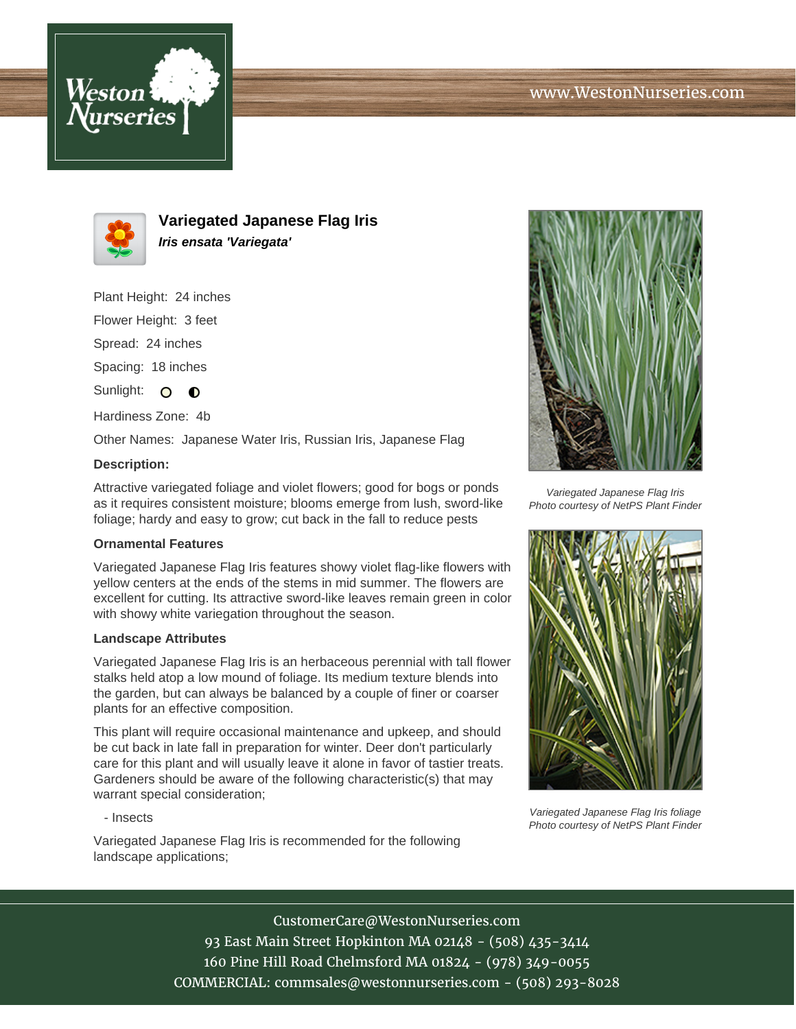



**Variegated Japanese Flag Iris Iris ensata 'Variegata'**

Plant Height: 24 inches

Flower Height: 3 feet

Spread: 24 inches

Spacing: 18 inches

Sunlight: O  $\bullet$ 

Hardiness Zone: 4b

Other Names: Japanese Water Iris, Russian Iris, Japanese Flag

## **Description:**

Attractive variegated foliage and violet flowers; good for bogs or ponds as it requires consistent moisture; blooms emerge from lush, sword-like foliage; hardy and easy to grow; cut back in the fall to reduce pests

## **Ornamental Features**

Variegated Japanese Flag Iris features showy violet flag-like flowers with yellow centers at the ends of the stems in mid summer. The flowers are excellent for cutting. Its attractive sword-like leaves remain green in color with showy white variegation throughout the season.

## **Landscape Attributes**

Variegated Japanese Flag Iris is an herbaceous perennial with tall flower stalks held atop a low mound of foliage. Its medium texture blends into the garden, but can always be balanced by a couple of finer or coarser plants for an effective composition.

This plant will require occasional maintenance and upkeep, and should be cut back in late fall in preparation for winter. Deer don't particularly care for this plant and will usually leave it alone in favor of tastier treats. Gardeners should be aware of the following characteristic(s) that may warrant special consideration;

- Insects

Variegated Japanese Flag Iris is recommended for the following landscape applications;



Variegated Japanese Flag Iris Photo courtesy of NetPS Plant Finder



Variegated Japanese Flag Iris foliage Photo courtesy of NetPS Plant Finder

CustomerCare@WestonNurseries.com 93 East Main Street Hopkinton MA 02148 - (508) 435-3414 160 Pine Hill Road Chelmsford MA 01824 - (978) 349-0055 COMMERCIAL: commsales@westonnurseries.com - (508) 293-8028